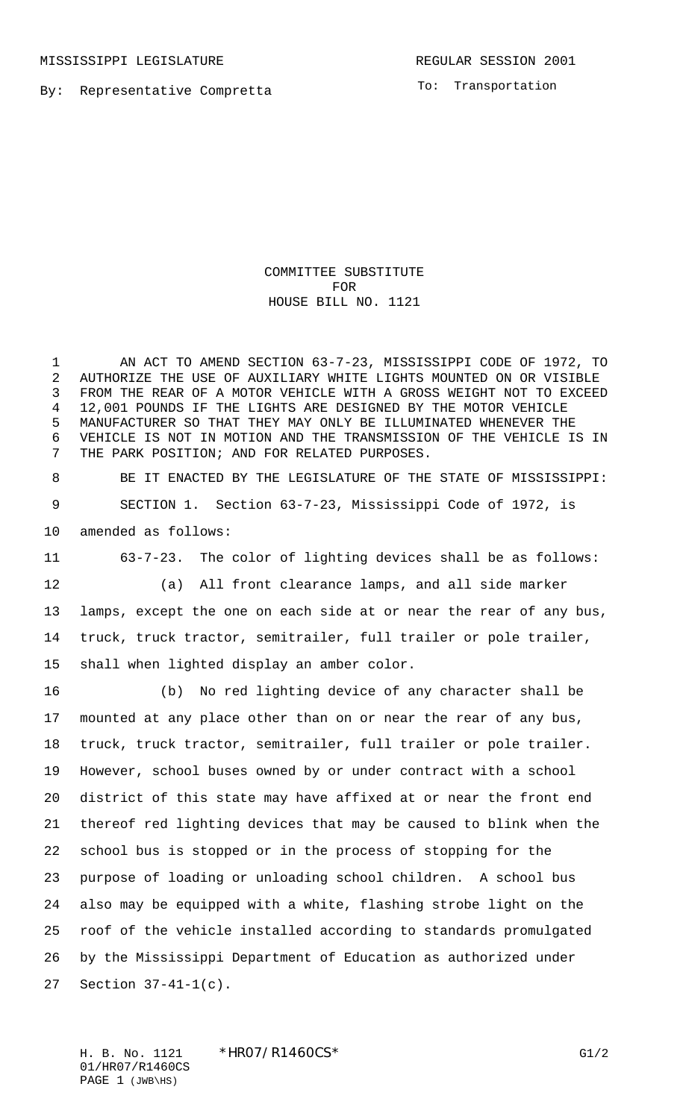MISSISSIPPI LEGISLATURE **REGULAR SESSION 2001** 

By: Representative Compretta

To: Transportation

COMMITTEE SUBSTITUTE FOR HOUSE BILL NO. 1121

 AN ACT TO AMEND SECTION 63-7-23, MISSISSIPPI CODE OF 1972, TO AUTHORIZE THE USE OF AUXILIARY WHITE LIGHTS MOUNTED ON OR VISIBLE FROM THE REAR OF A MOTOR VEHICLE WITH A GROSS WEIGHT NOT TO EXCEED 12,001 POUNDS IF THE LIGHTS ARE DESIGNED BY THE MOTOR VEHICLE MANUFACTURER SO THAT THEY MAY ONLY BE ILLUMINATED WHENEVER THE VEHICLE IS NOT IN MOTION AND THE TRANSMISSION OF THE VEHICLE IS IN THE PARK POSITION; AND FOR RELATED PURPOSES.

 BE IT ENACTED BY THE LEGISLATURE OF THE STATE OF MISSISSIPPI: SECTION 1. Section 63-7-23, Mississippi Code of 1972, is amended as follows:

 63-7-23. The color of lighting devices shall be as follows: (a) All front clearance lamps, and all side marker

 lamps, except the one on each side at or near the rear of any bus, truck, truck tractor, semitrailer, full trailer or pole trailer, shall when lighted display an amber color.

 (b) No red lighting device of any character shall be mounted at any place other than on or near the rear of any bus, truck, truck tractor, semitrailer, full trailer or pole trailer. However, school buses owned by or under contract with a school district of this state may have affixed at or near the front end thereof red lighting devices that may be caused to blink when the school bus is stopped or in the process of stopping for the purpose of loading or unloading school children. A school bus also may be equipped with a white, flashing strobe light on the roof of the vehicle installed according to standards promulgated by the Mississippi Department of Education as authorized under Section 37-41-1(c).

H. B. No. 1121 \* HRO7/R1460CS\* G1/2 01/HR07/R1460CS PAGE 1 (JWB\HS)